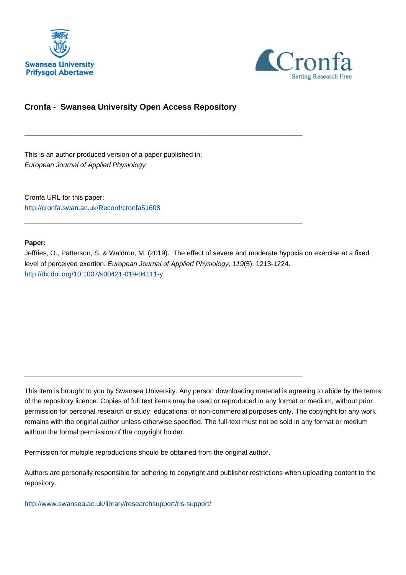



## **Cronfa - Swansea University Open Access Repository**

\_\_\_\_\_\_\_\_\_\_\_\_\_\_\_\_\_\_\_\_\_\_\_\_\_\_\_\_\_\_\_\_\_\_\_\_\_\_\_\_\_\_\_\_\_\_\_\_\_\_\_\_\_\_\_\_\_\_\_\_\_

\_\_\_\_\_\_\_\_\_\_\_\_\_\_\_\_\_\_\_\_\_\_\_\_\_\_\_\_\_\_\_\_\_\_\_\_\_\_\_\_\_\_\_\_\_\_\_\_\_\_\_\_\_\_\_\_\_\_\_\_\_

\_\_\_\_\_\_\_\_\_\_\_\_\_\_\_\_\_\_\_\_\_\_\_\_\_\_\_\_\_\_\_\_\_\_\_\_\_\_\_\_\_\_\_\_\_\_\_\_\_\_\_\_\_\_\_\_\_\_\_\_\_

This is an author produced version of a paper published in: European Journal of Applied Physiology

Cronfa URL for this paper: <http://cronfa.swan.ac.uk/Record/cronfa51608>

## **Paper:**

Jeffries, O., Patterson, S. & Waldron, M. (2019). The effect of severe and moderate hypoxia on exercise at a fixed level of perceived exertion. European Journal of Applied Physiology, 119(5), 1213-1224. <http://dx.doi.org/10.1007/s00421-019-04111-y>

This item is brought to you by Swansea University. Any person downloading material is agreeing to abide by the terms of the repository licence. Copies of full text items may be used or reproduced in any format or medium, without prior permission for personal research or study, educational or non-commercial purposes only. The copyright for any work remains with the original author unless otherwise specified. The full-text must not be sold in any format or medium without the formal permission of the copyright holder.

Permission for multiple reproductions should be obtained from the original author.

Authors are personally responsible for adhering to copyright and publisher restrictions when uploading content to the repository.

[http://www.swansea.ac.uk/library/researchsupport/ris-support/](http://www.swansea.ac.uk/library/researchsupport/ris-support/ )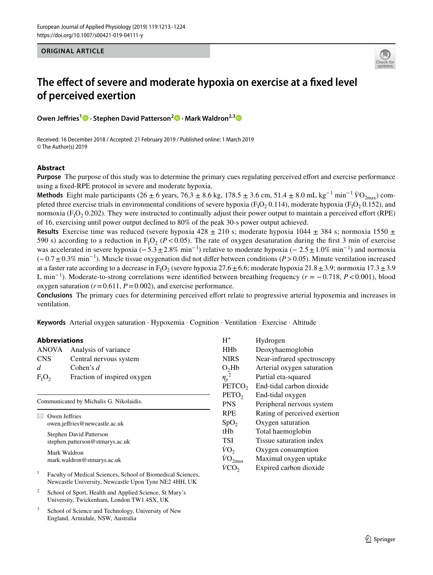**ORIGINAL ARTICLE**



# **The efect of severe and moderate hypoxia on exercise at a fxed level of perceived exertion**

**Owen Jeffries<sup>1</sup><sup>®</sup> · Stephen David Patterson<sup>2</sup><sup>®</sup> · Mark Waldron<sup>2,3</sup><sup>®</sup>** 

Received: 16 December 2018 / Accepted: 21 February 2019 / Published online: 1 March 2019 © The Author(s) 2019

## **Abstract**

**Purpose** The purpose of this study was to determine the primary cues regulating perceived efort and exercise performance using a fxed-RPE protocol in severe and moderate hypoxia.

**Methods** Eight male participants (26 ± 6 years, 76.3 ± 8.6 kg, 178.5 ± 3.6 cm, 51.4 ± 8.0 mL kg<sup>-1</sup> min<sup>-1</sup>  $\dot{V}O_{2\text{max}}$ ) completed three exercise trials in environmental conditions of severe hypoxia ( $F_1O_2$  0.114), moderate hypoxia ( $F_1O_2$  0.152), and normoxia ( $F_1O_2$  0.202). They were instructed to continually adjust their power output to maintain a perceived effort (RPE) of 16, exercising until power output declined to 80% of the peak 30-s power output achieved.

**Results** Exercise time was reduced (severe hypoxia 428  $\pm$  210 s; moderate hypoxia 1044  $\pm$  384 s; normoxia 1550  $\pm$ 590 s) according to a reduction in  $F_1O_2$  ( $P < 0.05$ ). The rate of oxygen desaturation during the first 3 min of exercise was accelerated in severe hypoxia ( $-5.3 \pm 2.8\%$  min<sup>-1</sup>) relative to moderate hypoxia ( $-2.5 \pm 1.0\%$  min<sup>-1</sup>) and normoxia (−0.7±0.3% min−1 ). Muscle tissue oxygenation did not difer between conditions (*P*>0.05). Minute ventilation increased at a faster rate according to a decrease in  $F_1O_2$  (severe hypoxia 27.6  $\pm$  6.6; moderate hypoxia 21.8  $\pm$  3.9; normoxia 17.3  $\pm$  3.9 L min−1 ). Moderate-to-strong correlations were identifed between breathing frequency (*r* = −0.718, *P*<0.001), blood oxygen saturation  $(r=0.611, P=0.002)$ , and exercise performance.

**Conclusions** The primary cues for determining perceived effort relate to progressive arterial hypoxemia and increases in ventilation.

**Keywords** Arterial oxygen saturation · Hypoxemia · Cognition · Ventilation · Exercise · Altitude

## **Abbreviations**

| <b>ANOVA</b>                            | Analysis of variance            | <b>HH<sub>b</sub></b> |
|-----------------------------------------|---------------------------------|-----------------------|
| <b>CNS</b>                              | Central nervous system          | <b>NIRS</b>           |
| d.                                      | Cohen's $d$                     | O <sub>2</sub> Hb     |
| $F_I O_2$                               | Fraction of inspired oxygen     | $\eta_p^2$            |
|                                         |                                 | <b>PETC</b>           |
|                                         | <b>PETO</b>                     |                       |
| Communicated by Michalis G. Nikolaidis. |                                 | <b>PNS</b>            |
| Owen Jeffries                           |                                 | <b>RPE</b>            |
|                                         | owen.jeffries@newcastle.ac.uk   | SpO <sub>2</sub>      |
|                                         | Stephen David Patterson         | tHb                   |
|                                         | stephen.patterson@stmarys.ac.uk | TSI                   |
| .                                       |                                 | VO.                   |

Mark Waldron mark.waldron@stmarys.ac.uk

- <sup>1</sup> Faculty of Medical Sciences, School of Biomedical Sciences, Newcastle University, Newcastle Upon Tyne NE2 4HH, UK
- <sup>2</sup> School of Sport, Health and Applied Science, St Mary's University, Twickenham, London TW1 4SX, UK
- <sup>3</sup> School of Science and Technology, University of New England, Armidale, NSW, Australia

| $H^+$                    | Hydrogen                     |
|--------------------------|------------------------------|
| <b>HH<sub>b</sub></b>    | Deoxyhaemoglobin             |
| <b>NIRS</b>              | Near-infrared spectroscopy   |
| O <sub>2</sub> Hb        | Arterial oxygen saturation   |
| $\eta_p^2$               | Partial eta-squared          |
| PETCO <sub>2</sub>       | End-tidal carbon dioxide     |
| PETO <sub>2</sub>        | End-tidal oxygen             |
| <b>PNS</b>               | Peripheral nervous system    |
| <b>RPE</b>               | Rating of perceived exertion |
| SpO <sub>2</sub>         | Oxygen saturation            |
| tHh                      | Total haemoglobin            |
| <b>TSI</b>               | Tissue saturation index      |
| $\dot{V}O_{2}$           | Oxygen consumption           |
| $\dot{V}O_{2\text{max}}$ | Maximal oxygen uptake        |
|                          | Expired carbon dioxide       |
|                          |                              |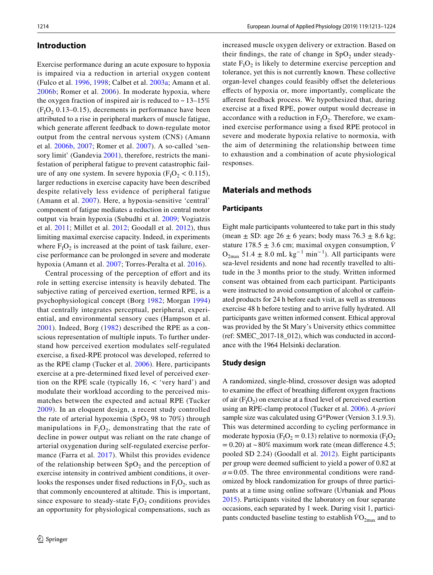## **Introduction**

Exercise performance during an acute exposure to hypoxia is impaired via a reduction in arterial oxygen content (Fulco et al. 1996, 1998; Calbet et al. 2003a; Amann et al. 2006b; Romer et al. 2006). In moderate hypoxia, where the oxygen fraction of inspired air is reduced to  $\sim 13-15\%$  $(F<sub>1</sub>O<sub>2</sub> 0.13-0.15)$ , decrements in performance have been attributed to a rise in peripheral markers of muscle fatigue, which generate afferent feedback to down-regulate motor output from the central nervous system (CNS) (Amann et al. 2006b, 2007; Romer et al. 2007). A so-called 'sensory limit' (Gandevia 2001), therefore, restricts the manifestation of peripheral fatigue to prevent catastrophic failure of any one system. In severe hypoxia  $(F_1O_2 < 0.115)$ , larger reductions in exercise capacity have been described despite relatively less evidence of peripheral fatigue (Amann et al. 2007). Here, a hypoxia-sensitive 'central' component of fatigue mediates a reduction in central motor output via brain hypoxia (Subudhi et al. 2009; Vogiatzis et al. 2011; Millet et al. 2012; Goodall et al. 2012), thus limiting maximal exercise capacity. Indeed, in experiments where  $F_1O_2$  is increased at the point of task failure, exercise performance can be prolonged in severe and moderate hypoxia (Amann et al. 2007; Torres-Peralta et al. 2016).

Central processing of the perception of effort and its role in setting exercise intensity is heavily debated. The subjective rating of perceived exertion, termed RPE, is a psychophysiological concept (Borg 1982; Morgan 1994) that centrally integrates perceptual, peripheral, experiential, and environmental sensory cues (Hampson et al. 2001). Indeed, Borg (1982) described the RPE as a conscious representation of multiple inputs. To further understand how perceived exertion modulates self-regulated exercise, a fxed-RPE protocol was developed, referred to as the RPE clamp (Tucker et al. 2006). Here, participants exercise at a pre-determined fxed level of perceived exertion on the RPE scale (typically  $16$ ,  $\lt$  'very hard') and modulate their workload according to the perceived mismatches between the expected and actual RPE (Tucker 2009). In an eloquent design, a recent study controlled the rate of arterial hypoxemia (SpO<sub>2</sub> 98 to 70%) through manipulations in  $F_1O_2$ , demonstrating that the rate of decline in power output was reliant on the rate change of arterial oxygenation during self-regulated exercise performance (Farra et al. 2017). Whilst this provides evidence of the relationship between  $SpO<sub>2</sub>$  and the perception of exercise intensity in contrived ambient conditions, it overlooks the responses under fixed reductions in  $F_1O_2$ , such as that commonly encountered at altitude. This is important, since exposure to steady-state  $F_1O_2$  conditions provides an opportunity for physiological compensations, such as

increased muscle oxygen delivery or extraction. Based on their findings, the rate of change in  $SpO<sub>2</sub>$  under steadystate  $F_1O_2$  is likely to determine exercise perception and tolerance, yet this is not currently known. These collective organ-level changes could feasibly offset the deleterious efects of hypoxia or, more importantly, complicate the aferent feedback process. We hypothesized that, during exercise at a fxed RPE, power output would decrease in accordance with a reduction in  $F_1O_2$ . Therefore, we examined exercise performance using a fxed RPE protocol in severe and moderate hypoxia relative to normoxia, with the aim of determining the relationship between time to exhaustion and a combination of acute physiological responses.

## **Materials and methods**

#### **Participants**

Eight male participants volunteered to take part in this study (mean  $\pm$  SD: age 26  $\pm$  6 years; body mass 76.3  $\pm$  8.6 kg; stature  $178.5 \pm 3.6$  cm; maximal oxygen consumption,  $\dot{V}$  $O_{2max}$  51.4 ± 8.0 mL kg<sup>-1</sup> min<sup>-1</sup>). All participants were sea-level residents and none had recently travelled to altitude in the 3 months prior to the study. Written informed consent was obtained from each participant. Participants were instructed to avoid consumption of alcohol or cafeinated products for 24 h before each visit, as well as strenuous exercise 48 h before testing and to arrive fully hydrated. All participants gave written informed consent. Ethical approval was provided by the St Mary's University ethics committee (ref: SMEC\_2017-18\_012), which was conducted in accordance with the 1964 Helsinki declaration.

#### **Study design**

A randomized, single-blind, crossover design was adopted to examine the efect of breathing diferent oxygen fractions of air  $(F_1O_2)$  on exercise at a fixed level of perceived exertion using an RPE-clamp protocol (Tucker et al. 2006). *A-priori* sample size was calculated using G\*Power (Version 3.1.9.3). This was determined according to cycling performance in moderate hypoxia ( $F_1O_2 = 0.13$ ) relative to normoxia ( $F_1O_2$  $= 0.20$ ) at ~80% maximum work rate (mean difference 4.5; pooled SD 2.24) (Goodall et al. 2012). Eight participants per group were deemed sufficient to yield a power of 0.82 at  $\alpha$  = 0.05. The three environmental conditions were randomized by block randomization for groups of three participants at a time using online software (Urbaniak and Plous 2015). Participants visited the laboratory on four separate occasions, each separated by 1 week. During visit 1, participants conducted baseline testing to establish  $\rm VO_{2max}$  and to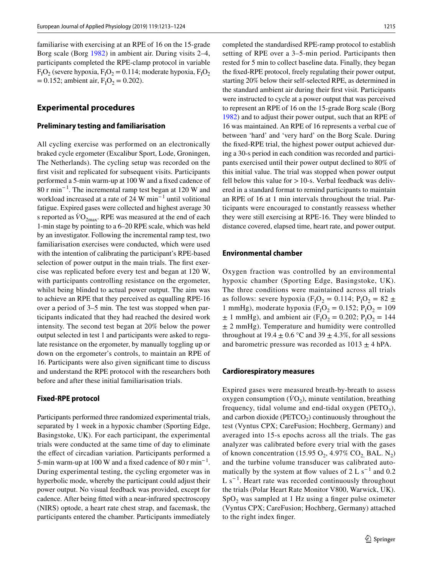familiarise with exercising at an RPE of 16 on the 15-grade Borg scale (Borg 1982) in ambient air. During visits 2–4, participants completed the RPE-clamp protocol in variable  $F_1O_2$  (severe hypoxia,  $F_1O_2 = 0.114$ ; moderate hypoxia,  $F_1O_2$  $= 0.152$ ; ambient air,  $F<sub>I</sub>O<sub>2</sub> = 0.202$ ).

## **Experimental procedures**

#### **Preliminary testing and familiarisation**

All cycling exercise was performed on an electronically braked cycle ergometer (Excalibur Sport, Lode, Groningen, The Netherlands). The cycling setup was recorded on the frst visit and replicated for subsequent visits. Participants performed a 5-min warm-up at 100 W and a fxed cadence of 80 r min−1 . The incremental ramp test began at 120 W and workload increased at a rate of 24 W min<sup>-1</sup> until volitional fatigue. Expired gases were collected and highest average 30 s reported as  $\dot{V}O_{2\text{max}}$ . RPE was measured at the end of each 1-min stage by pointing to a 6–20 RPE scale, which was held by an investigator. Following the incremental ramp test, two familiarisation exercises were conducted, which were used with the intention of calibrating the participant's RPE-based selection of power output in the main trials. The first exercise was replicated before every test and began at 120 W, with participants controlling resistance on the ergometer, whilst being blinded to actual power output. The aim was to achieve an RPE that they perceived as equalling RPE-16 over a period of 3–5 min. The test was stopped when participants indicated that they had reached the desired work intensity. The second test began at 20% below the power output selected in test 1 and participants were asked to regulate resistance on the ergometer, by manually toggling up or down on the ergometer's controls, to maintain an RPE of 16. Participants were also given signifcant time to discuss and understand the RPE protocol with the researchers both before and after these initial familiarisation trials.

#### **Fixed‑RPE protocol**

Participants performed three randomized experimental trials, separated by 1 week in a hypoxic chamber (Sporting Edge, Basingstoke, UK). For each participant, the experimental trials were conducted at the same time of day to eliminate the efect of circadian variation. Participants performed a 5-min warm-up at 100 W and a fixed cadence of 80 r min<sup>-1</sup>. During experimental testing, the cycling ergometer was in hyperbolic mode, whereby the participant could adjust their power output. No visual feedback was provided, except for cadence. After being ftted with a near-infrared spectroscopy (NIRS) optode, a heart rate chest strap, and facemask, the participants entered the chamber. Participants immediately

completed the standardised RPE-ramp protocol to establish setting of RPE over a 3–5-min period. Participants then rested for 5 min to collect baseline data. Finally, they began the fxed-RPE protocol, freely regulating their power output, starting 20% below their self-selected RPE, as determined in the standard ambient air during their frst visit. Participants were instructed to cycle at a power output that was perceived to represent an RPE of 16 on the 15-grade Borg scale (Borg 1982) and to adjust their power output, such that an RPE of 16 was maintained. An RPE of 16 represents a verbal cue of between 'hard' and 'very hard' on the Borg Scale. During the fxed-RPE trial, the highest power output achieved during a 30-s period in each condition was recorded and participants exercised until their power output declined to 80% of this initial value. The trial was stopped when power output fell below this value for  $>10$ -s. Verbal feedback was delivered in a standard format to remind participants to maintain an RPE of 16 at 1 min intervals throughout the trial. Participants were encouraged to constantly reassess whether they were still exercising at RPE-16. They were blinded to distance covered, elapsed time, heart rate, and power output.

#### **Environmental chamber**

Oxygen fraction was controlled by an environmental hypoxic chamber (Sporting Edge, Basingstoke, UK). The three conditions were maintained across all trials as follows: severe hypoxia (F<sub>I</sub>O<sub>2</sub> = 0.114; P<sub>I</sub>O<sub>2</sub> = 82 ± 1 mmHg), moderate hypoxia ( $F_1O_2 = 0.152$ ;  $P_1O_2 = 109$  $\pm$  1 mmHg), and ambient air (F<sub>I</sub>O<sub>2</sub> = 0.202; P<sub>I</sub>O<sub>2</sub> = 144  $±$  2 mmHg). Temperature and humidity were controlled throughout at 19.4  $\pm$  0.6 °C and 39  $\pm$  4.3%, for all sessions and barometric pressure was recorded as  $1013 \pm 4$  hPA.

#### **Cardiorespiratory measures**

Expired gases were measured breath-by-breath to assess oxygen consumption  $(\dot{V}O_2)$ , minute ventilation, breathing frequency, tidal volume and end-tidal oxygen ( $\text{PETO}_2$ ), and carbon dioxide ( $PETCO<sub>2</sub>$ ) continuously throughout the test (Vyntus CPX; CareFusion; Hochberg, Germany) and averaged into 15-s epochs across all the trials. The gas analyzer was calibrated before every trial with the gases of known concentration (15.95 O<sub>2</sub>, 4.97% CO<sub>2</sub> BAL. N<sub>2</sub>) and the turbine volume transducer was calibrated automatically by the system at flow values of  $2 L s^{-1}$  and 0.2  $L s^{-1}$ . Heart rate was recorded continuously throughout the trials (Polar Heart Rate Monitor V800, Warwick, UK).  $SpO<sub>2</sub>$  was sampled at 1 Hz using a finger pulse oximeter (Vyntus CPX; CareFusion; Hochberg, Germany) attached to the right index fnger.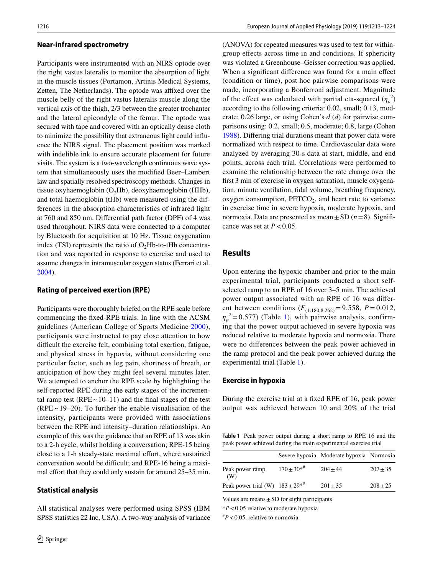#### **Near‑infrared spectrometry**

Participants were instrumented with an NIRS optode over the right vastus lateralis to monitor the absorption of light in the muscle tissues (Portamon, Artinis Medical Systems, Zetten, The Netherlands). The optode was affixed over the muscle belly of the right vastus lateralis muscle along the vertical axis of the thigh, 2/3 between the greater trochanter and the lateral epicondyle of the femur. The optode was secured with tape and covered with an optically dense cloth to minimize the possibility that extraneous light could infuence the NIRS signal. The placement position was marked with indelible ink to ensure accurate placement for future visits. The system is a two-wavelength continuous wave system that simultaneously uses the modifed Beer–Lambert law and spatially resolved spectroscopy methods. Changes in tissue oxyhaemoglobin  $(O<sub>2</sub>Hb)$ , deoxyhaemoglobin (HHb), and total haemoglobin (tHb) were measured using the differences in the absorption characteristics of infrared light at 760 and 850 nm. Diferential path factor (DPF) of 4 was used throughout. NIRS data were connected to a computer by Bluetooth for acquisition at 10 Hz. Tissue oxygenation index (TSI) represents the ratio of  $O<sub>2</sub>$ Hb-to-tHb concentration and was reported in response to exercise and used to assume changes in intramuscular oxygen status (Ferrari et al. 2004).

#### **Rating of perceived exertion (RPE)**

Participants were thoroughly briefed on the RPE scale before commencing the fxed-RPE trials. In line with the ACSM guidelines (American College of Sports Medicine 2000), participants were instructed to pay close attention to how difficult the exercise felt, combining total exertion, fatigue, and physical stress in hypoxia, without considering one particular factor, such as leg pain, shortness of breath, or anticipation of how they might feel several minutes later. We attempted to anchor the RPE scale by highlighting the self-reported RPE during the early stages of the incremental ramp test ( $RPE \sim 10-11$ ) and the final stages of the test  $(RPE ~ 19–20)$ . To further the enable visualisation of the intensity, participants were provided with associations between the RPE and intensity–duration relationships. An example of this was the guidance that an RPE of 13 was akin to a 2-h cycle, whilst holding a conversation; RPE-15 being close to a 1-h steady-state maximal effort, where sustained conversation would be difficult; and RPE-16 being a maximal effort that they could only sustain for around 25–35 min.

#### **Statistical analysis**

All statistical analyses were performed using SPSS (IBM SPSS statistics 22 Inc, USA). A two-way analysis of variance (ANOVA) for repeated measures was used to test for withingroup efects across time in and conditions. If sphericity was violated a Greenhouse–Geisser correction was applied. When a significant difference was found for a main effect (condition or time), post hoc pairwise comparisons were made, incorporating a Bonferroni adjustment. Magnitude of the effect was calculated with partial eta-squared  $(\eta_p^2)$ according to the following criteria: 0.02, small; 0.13, moderate; 0.26 large, or using Cohen's *d* (*d*) for pairwise comparisons using: 0.2, small; 0.5, moderate; 0.8, large (Cohen 1988). Difering trial durations meant that power data were normalized with respect to time. Cardiovascular data were analyzed by averaging 30-s data at start, middle, and end points, across each trial. Correlations were performed to examine the relationship between the rate change over the frst 3 min of exercise in oxygen saturation, muscle oxygenation, minute ventilation, tidal volume, breathing frequency, oxygen consumption,  $PETCO<sub>2</sub>$ , and heart rate to variance in exercise time in severe hypoxia, moderate hypoxia, and normoxia. Data are presented as mean  $\pm$  SD ( $n=8$ ). Significance was set at  $P < 0.05$ .

## **Results**

Upon entering the hypoxic chamber and prior to the main experimental trial, participants conducted a short selfselected ramp to an RPE of 16 over 3–5 min. The achieved power output associated with an RPE of 16 was diferent between conditions  $(F_{(1.180,8.262)} = 9.558, P = 0.012,$  $\eta_p^2$  = 0.577) (Table 1), with pairwise analysis, confirming that the power output achieved in severe hypoxia was reduced relative to moderate hypoxia and normoxia. There were no diferences between the peak power achieved in the ramp protocol and the peak power achieved during the experimental trial (Table 1).

#### **Exercise in hypoxia**

During the exercise trial at a fxed RPE of 16, peak power output was achieved between 10 and 20% of the trial

**Table 1** Peak power output during a short ramp to RPE 16 and the peak power achieved during the main experimental exercise trial

|                                       |              | Severe hypoxia Moderate hypoxia Normoxia |            |
|---------------------------------------|--------------|------------------------------------------|------------|
| Peak power ramp<br>(W)                | $170 + 30**$ | $204 + 44$                               | $207 + 35$ |
| Peak power trial (W) $183 \pm 29^{*}$ |              | $201 + 35$                               | $208 + 25$ |
|                                       |              |                                          |            |

Values are means $\pm$ SD for eight participants

\**P*<0.05 relative to moderate hypoxia

# *P*<0.05, relative to normoxia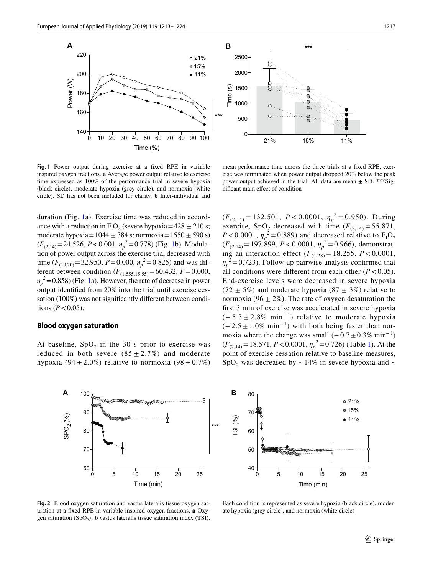

**Fig. 1** Power output during exercise at a fxed RPE in variable inspired oxygen fractions. **a** Average power output relative to exercise time expressed as 100% of the performance trial in severe hypoxia (black circle), moderate hypoxia (grey circle), and normoxia (white circle). SD has not been included for clarity. **b** Inter-individual and

mean performance time across the three trials at a fxed RPE, exercise was terminated when power output dropped 20% below the peak power output achieved in the trial. All data are mean  $\pm$  SD. \*\*\*Signifcant main efect of condition

duration (Fig. 1a). Exercise time was reduced in accordance with a reduction in  $F_1O_2$  (severe hypoxia = 428  $\pm$  210 s; moderate hypoxia =  $1044 \pm 384$  s; normoxia =  $1550 \pm 590$  s) (*F*(2,14)=24.526, *P*<0.001, *ηp <sup>2</sup>*=0.778) (Fig. 1b). Modulation of power output across the exercise trial decreased with time ( $F_{(10,70)}$ =32.950,  $P$ =0.000,  $\eta_p^2$ =0.825) and was different between condition  $(F_{(1.555,15.55)} = 60.432, P = 0.000,$  $\eta_p^2$  = 0.858) (Fig. 1a). However, the rate of decrease in power output identifed from 20% into the trial until exercise cessation (100%) was not signifcantly diferent between conditions ( $P < 0.05$ ).

#### **Blood oxygen saturation**

At baseline,  $SpO<sub>2</sub>$  in the 30 s prior to exercise was reduced in both severe  $(85 \pm 2.7\%)$  and moderate hypoxia (94  $\pm$  2.0%) relative to normoxia (98  $\pm$  0.7%)

 $(F_{(2,14)} = 132.501, P < 0.0001, \eta_p^2 = 0.950)$ . During exercise, SpO<sub>2</sub> decreased with time  $(F_{(2,14)} = 55.871$ ,  $P < 0.0001$ ,  $\eta_p^2 = 0.889$ ) and decreased relative to  $F_1O_2$ (*F*(2,14) = 197.899, *P* < 0.0001, *ηp <sup>2</sup>* = 0.966), demonstrating an interaction effect  $(F_{(4,28)} = 18.255, P < 0.0001,$  $\eta_p^2$  = 0.723). Follow-up pairwise analysis confirmed that all conditions were different from each other  $(P < 0.05)$ . End-exercise levels were decreased in severe hypoxia  $(72 \pm 5\%)$  and moderate hypoxia  $(87 \pm 3\%)$  relative to normoxia (96  $\pm$  2%). The rate of oxygen desaturation the frst 3 min of exercise was accelerated in severe hypoxia  $(-5.3 \pm 2.8\% \text{ min}^{-1})$  relative to moderate hypoxia  $(-2.5 \pm 1.0\% \text{ min}^{-1})$  with both being faster than normoxia where the change was small  $(-0.7 \pm 0.3\% \text{ min}^{-1})$  $(F_{(2,14)} = 18.571, P < 0.0001, \eta_p^2 = 0.726)$  (Table 1). At the point of exercise cessation relative to baseline measures,  $SpO<sub>2</sub>$  was decreased by ~14% in severe hypoxia and ~





**Fig. 2** Blood oxygen saturation and vastus lateralis tissue oxygen saturation at a fxed RPE in variable inspired oxygen fractions. **a** Oxygen saturation (SpO<sub>2</sub>); **b** vastus lateralis tissue saturation index (TSI).

Each condition is represented as severe hypoxia (black circle), moderate hypoxia (grey circle), and normoxia (white circle)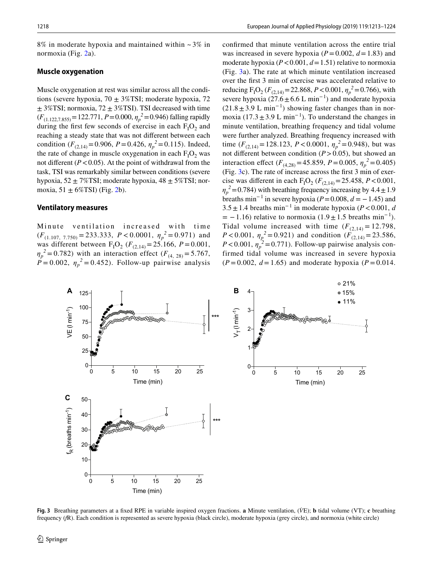$8\%$  in moderate hypoxia and maintained within  $\sim$  3% in normoxia (Fig. 2a).

#### **Muscle oxygenation**

Muscle oxygenation at rest was similar across all the conditions (severe hypoxia,  $70 \pm 3\%$ TSI; moderate hypoxia, 72  $\pm$  3%TSI; normoxia, 72  $\pm$  3%TSI). TSI decreased with time  $(F_{(1.122,7.855)} = 122.771, P = 0.000, \eta_p^2 = 0.946$ ) falling rapidly during the first few seconds of exercise in each  $F_1O_2$  and reaching a steady state that was not diferent between each condition ( $F_{(2,14)} = 0.906$ ,  $P = 0.426$ ,  $\eta_p^2 = 0.115$ ). Indeed, the rate of change in muscle oxygenation in each  $F_1O_2$  was not different  $(P < 0.05)$ . At the point of withdrawal from the task, TSI was remarkably similar between conditions (severe hypoxia,  $52 \pm 7\%$ TSI; moderate hypoxia,  $48 \pm 5\%$ TSI; normoxia,  $51 \pm 6\%$ TSI) (Fig. 2b).

#### **Ventilatory measures**

Minute ventilation increased with time  $(F_{(1.107, 7.750)} = 233.333, P < 0.0001, \eta_p^2 = 0.971)$  and was different between  $F_1O_2$  ( $F_{(2,14)} = 25.166$ ,  $P = 0.001$ ,  $\eta_p^2 = 0.782$ ) with an interaction effect (*F*<sub>(4, 28)</sub> = 5.767,  $\dot{P} = 0.002$ ,  $\eta_p^2 = 0.452$ ). Follow-up pairwise analysis confrmed that minute ventilation across the entire trial was increased in severe hypoxia  $(P=0.002, d=1.83)$  and moderate hypoxia (*P*<0.001, *d*=1.51) relative to normoxia (Fig. 3a). The rate at which minute ventilation increased over the frst 3 min of exercise was accelerated relative to reducing  $F_1O_2$  ( $F_{(2,14)} = 22.868$ ,  $P < 0.001$ ,  $\eta_p^2 = 0.766$ ), with severe hypoxia (27.6  $\pm$  6.6 L min<sup>-1</sup>) and moderate hypoxia  $(21.8 \pm 3.9 \text{ L min}^{-1})$  showing faster changes than in normoxia (17.3  $\pm$  3.9 L min<sup>-1</sup>). To understand the changes in minute ventilation, breathing frequency and tidal volume were further analyzed. Breathing frequency increased with time  $(F_{(2,14)} = 128.123, P < 0.0001, \eta_p^2 = 0.948)$ , but was not diferent between condition (*P*>0.05), but showed an interaction effect ( $F_{(4,28)}$ =45.859, *P* = 0.005,  $\eta_p^2$  = 0.405) (Fig. 3c). The rate of increase across the frst 3 min of exercise was different in each  $F_1O_2$  ( $F_{(2,14)} = 25.458$ ,  $P < 0.001$ ,  $\eta_p^2$  = 0.784) with breathing frequency increasing by 4.4  $\pm$  1.9 breaths min<sup>-1</sup> in severe hypoxia ( $P = 0.008$ ,  $d = -1.45$ ) and  $3.5 \pm 1.4$  breaths min<sup>-1</sup> in moderate hypoxia (*P* < 0.001, *d*  $= -1.16$ ) relative to normoxia (1.9  $\pm$  1.5 breaths min<sup>-1</sup>). Tidal volume increased with time  $(F_{(2,14)} = 12.798$ , *P* < 0.001,  $\eta_p^2 = 0.921$ ) and condition ( $F_{(2,14)} = 23.586$ ,  $P < 0.001$ ,  $\eta_p^2 = 0.771$ ). Follow-up pairwise analysis confirmed tidal volume was increased in severe hypoxia  $(P = 0.002, d = 1.65)$  and moderate hypoxia  $(P = 0.014$ .



**Fig. 3** Breathing parameters at a fxed RPE in variable inspired oxygen fractions. **a** Minute ventilation, (*V̇* E); **b** tidal volume (VT); **c** breathing frequency (*f*R). Each condition is represented as severe hypoxia (black circle), moderate hypoxia (grey circle), and normoxia (white circle)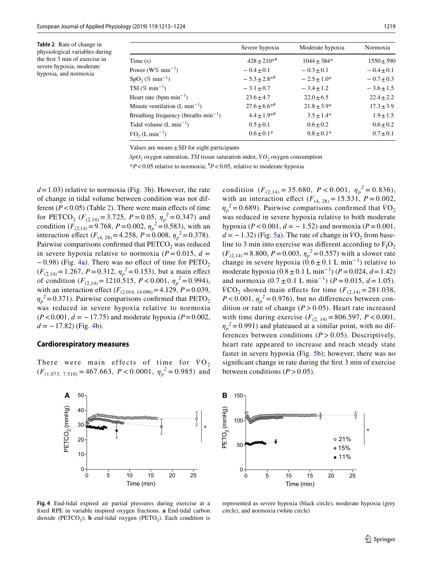**Table 2** Rate of change in physiological variables during the frst 3 min of exercise in severe hypoxia, moderate hypoxia, and normoxia

|                                           | Severe hypoxia   | Moderate hypoxia | Normoxia       |
|-------------------------------------------|------------------|------------------|----------------|
| Time(s)                                   | $428 + 210^{*}$  | $1044 + 384*$    | $1550 \pm 590$ |
| Power ( $W\%$ min <sup>-1</sup> )         | $-0.4 \pm 0.1$   | $-0.3 + 0.1$     | $-0.4 + 0.1$   |
| $SpO2(\% min-1)$                          | $-5.3 \pm 2.8**$ | $-2.5+1.0*$      | $-0.7 \pm 0.3$ |
| TSI $(\% \text{ min}^{-1})$               | $-3.1 \pm 0.7$   | $-3.4 + 1.2$     | $-3.6 \pm 1.5$ |
| Heart rate (bpm $min^{-1}$ )              | $23.6 \pm 4.7$   | $22.0 + 6.5$     | $22.4 \pm 2.2$ |
| Minute ventilation $(L \min^{-1})$        | $27.6 \pm 6.6**$ | $21.8 \pm 3.9*$  | $17.3 \pm 3.9$ |
| Breathing frequency (breaths $min^{-1}$ ) | $4.4 \pm 1.9**$  | $3.5 + 1.4*$     | $1.9 \pm 1.5$  |
| Tidal volume $(L \text{ min}^{-1})$       | $0.5 \pm 0.1$    | $0.6 \pm 0.2$    | $0.6 \pm 0.2$  |
| $\dot{V}O_2(L \text{ min}^{-1})$          | $0.6 \pm 0.1*$   | $0.8 \pm 0.1*$   | $0.7 \pm 0.1$  |

Values are means $\pm$ SD for eight participants

 $SpO<sub>2</sub>$  oxygen saturation, *TSI* tissue saturation index,  $VO<sub>2</sub>$  oxygen consumption

\**P*<0.05 relative to normoxia; # *P*<0.05, relative to moderate hypoxia

*d*=1.03) relative to normoxia (Fig. 3b). However, the rate of change in tidal volume between condition was not different  $(P < 0.05)$  (Table 2). There were main effects of time for PETCO<sub>2</sub> ( $F_{(2,14)} = 3.725$ ,  $P = 0.05$ ,  $\eta_p^2 = 0.347$ ) and condition ( $F_{(2,14)} = 9.768$ ,  $P = 0.002$ ,  $\eta_p^2 = 0.583$ ), with an interaction effect ( $F_{(4, 28)} = 4.258$ ,  $P = 0.008$ ,  $\eta_p^2 = 0.378$ ). Pairwise comparisons confirmed that  $PETCO<sub>2</sub>$  was reduced in severe hypoxia relative to normoxia ( $P = 0.015$ ,  $d =$  $-0.98$ ) (Fig. 4a). There was no effect of time for PETO<sub>2</sub>  $(F_{(2,14)} = 1.267, P = 0.312, \eta_p^2 = 0.153)$ , but a main effect of condition  $(F_{(2,14)} = 1210.515, P < 0.001, \eta_p^2 = 0.994$ , with an interaction effect  $(F_{(2.014, 14.096)} = 4.129, P = 0.039,$  $\eta_p^2$ =0.371). Pairwise comparisons confirmed that PETO<sub>2</sub> was reduced in severe hypoxia relative to normoxia  $(P<0.001, d = -17.75)$  and moderate hypoxia  $(P=0.002,$  $d = -17.82$ ) (Fig. 4b).

## **Cardiorespiratory measures**

There were main effects of time for  $\dot{V}O_2$  $(F_{(1.073, 7.510)} = 467.663, P < 0.0001, \eta_p^2 = 0.985)$  and



**Fig. 4** End-tidal expired air partial pressures during exercise at a fxed RPE in variable inspired oxygen fractions. **a** End-tidal carbon dioxide (PETCO<sub>2</sub>); **b** end-tidal oxygen (PETO<sub>2</sub>). Each condition is



represented as severe hypoxia (black circle), moderate hypoxia (grey circle), and normoxia (white circle)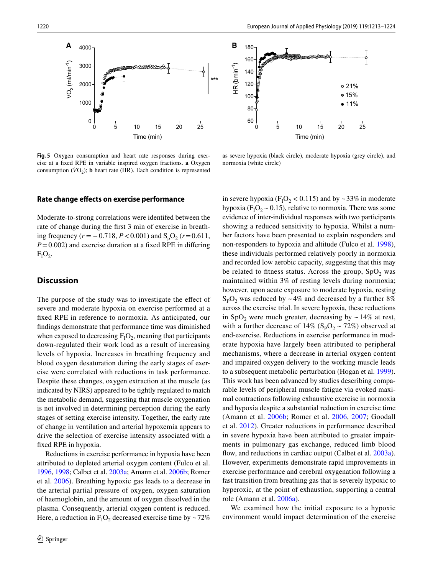



**Fig. 5** Oxygen consumption and heart rate responses during exercise at a fxed RPE in variable inspired oxygen fractions. **a** Oxygen consumption  $(\dot{V}O_2)$ ; **b** heart rate (HR). Each condition is represented

as severe hypoxia (black circle), moderate hypoxia (grey circle), and normoxia (white circle)

#### **Rate change efects on exercise performance**

Moderate-to-strong correlations were identifed between the rate of change during the frst 3 min of exercise in breathing frequency ( $r$  = −0.718,  $P$  < 0.001) and S<sub>p</sub>O<sub>2</sub> ( $r$  = 0.611,  $P=0.002$ ) and exercise duration at a fixed RPE in differing  $F_1O_2$ .

### **Discussion**

The purpose of the study was to investigate the efect of severe and moderate hypoxia on exercise performed at a fxed RPE in reference to normoxia. As anticipated, our fndings demonstrate that performance time was diminished when exposed to decreasing  $F_1O_2$ , meaning that participants down-regulated their work load as a result of increasing levels of hypoxia. Increases in breathing frequency and blood oxygen desaturation during the early stages of exercise were correlated with reductions in task performance. Despite these changes, oxygen extraction at the muscle (as indicated by NIRS) appeared to be tightly regulated to match the metabolic demand, suggesting that muscle oxygenation is not involved in determining perception during the early stages of setting exercise intensity. Together, the early rate of change in ventilation and arterial hypoxemia appears to drive the selection of exercise intensity associated with a fxed RPE in hypoxia.

Reductions in exercise performance in hypoxia have been attributed to depleted arterial oxygen content (Fulco et al. 1996, 1998; Calbet et al. 2003a; Amann et al. 2006b; Romer et al. 2006). Breathing hypoxic gas leads to a decrease in the arterial partial pressure of oxygen, oxygen saturation of haemoglobin, and the amount of oxygen dissolved in the plasma. Consequently, arterial oxygen content is reduced. Here, a reduction in  $F_1O_2$  decreased exercise time by ~72%

in severe hypoxia ( $F_1O_2 < 0.115$ ) and by ~33% in moderate hypoxia ( $F_1O_2 \sim 0.15$ ), relative to normoxia. There was some evidence of inter-individual responses with two participants showing a reduced sensitivity to hypoxia. Whilst a number factors have been presented to explain responders and non-responders to hypoxia and altitude (Fulco et al. 1998), these individuals performed relatively poorly in normoxia and recorded low aerobic capacity, suggesting that this may be related to fitness status. Across the group,  $SpO<sub>2</sub>$  was maintained within 3% of resting levels during normoxia; however, upon acute exposure to moderate hypoxia, resting  $S_pO_2$  was reduced by ~4% and decreased by a further 8% across the exercise trial. In severe hypoxia, these reductions in SpO<sub>2</sub> were much greater, decreasing by  $\sim$  14% at rest, with a further decrease of  $14\%$  (S<sub>P</sub>O<sub>2</sub> ~ 72%) observed at end-exercise. Reductions in exercise performance in moderate hypoxia have largely been attributed to peripheral mechanisms, where a decrease in arterial oxygen content and impaired oxygen delivery to the working muscle leads to a subsequent metabolic perturbation (Hogan et al. 1999). This work has been advanced by studies describing comparable levels of peripheral muscle fatigue via evoked maximal contractions following exhaustive exercise in normoxia and hypoxia despite a substantial reduction in exercise time (Amann et al. 2006b; Romer et al. 2006, 2007; Goodall et al. 2012). Greater reductions in performance described in severe hypoxia have been attributed to greater impairments in pulmonary gas exchange, reduced limb blood flow, and reductions in cardiac output (Calbet et al. 2003a). However, experiments demonstrate rapid improvements in exercise performance and cerebral oxygenation following a fast transition from breathing gas that is severely hypoxic to hyperoxic, at the point of exhaustion, supporting a central role (Amann et al. 2006a).

We examined how the initial exposure to a hypoxic environment would impact determination of the exercise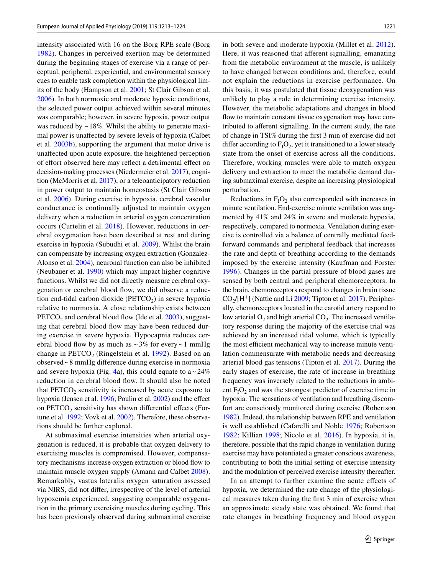intensity associated with 16 on the Borg RPE scale (Borg 1982). Changes in perceived exertion may be determined during the beginning stages of exercise via a range of perceptual, peripheral, experiential, and environmental sensory cues to enable task completion within the physiological limits of the body (Hampson et al. 2001; St Clair Gibson et al. 2006). In both normoxic and moderate hypoxic conditions, the selected power output achieved within several minutes was comparable; however, in severe hypoxia, power output was reduced by  $\sim$  18%. Whilst the ability to generate maximal power is unafected by severe levels of hypoxia (Calbet et al. 2003b), supporting the argument that motor drive is unafected upon acute exposure, the heightened perception of effort observed here may reflect a detrimental effect on decision-making processes (Niedermeier et al. 2017), cognition (McMorris et al. 2017), or a teleoanticipatory reduction in power output to maintain homeostasis (St Clair Gibson et al. 2006). During exercise in hypoxia, cerebral vascular conductance is continually adjusted to maintain oxygen delivery when a reduction in arterial oxygen concentration occurs (Curtelin et al. 2018). However, reductions in cerebral oxygenation have been described at rest and during exercise in hypoxia (Subudhi et al. 2009). Whilst the brain can compensate by increasing oxygen extraction (Gonzalez-Alonso et al. 2004), neuronal function can also be inhibited (Neubauer et al. 1990) which may impact higher cognitive functions. Whilst we did not directly measure cerebral oxygenation or cerebral blood flow, we did observe a reduction end-tidal carbon dioxide ( $PETCO<sub>2</sub>$ ) in severe hypoxia relative to normoxia. A close relationship exists between  $PETCO<sub>2</sub>$  and cerebral blood flow (Ide et al. 2003), suggesting that cerebral blood flow may have been reduced during exercise in severe hypoxia. Hypocapnia reduces cerebral blood flow by as much as  $\sim 3\%$  for every  $\sim 1$  mmHg change in  $PETCO<sub>2</sub>$  (Ringelstein et al. 1992). Based on an observed~8 mmHg diference during exercise in normoxia and severe hypoxia (Fig. 4a), this could equate to  $a \sim 24\%$ reduction in cerebral blood fow. It should also be noted that  $PETCO<sub>2</sub>$  sensitivity is increased by acute exposure to hypoxia (Jensen et al. 1996; Poulin et al. 2002) and the efect on  $PETCO<sub>2</sub>$  sensitivity has shown differential effects (Fortune et al. 1992; Vovk et al. 2002). Therefore, these observations should be further explored.

At submaximal exercise intensities when arterial oxygenation is reduced, it is probable that oxygen delivery to exercising muscles is compromised. However, compensatory mechanisms increase oxygen extraction or blood fow to maintain muscle oxygen supply (Amann and Calbet 2008). Remarkably, vastus lateralis oxygen saturation assessed via NIRS, did not difer, irrespective of the level of arterial hypoxemia experienced, suggesting comparable oxygenation in the primary exercising muscles during cycling. This has been previously observed during submaximal exercise in both severe and moderate hypoxia (Millet et al. 2012). Here, it was reasoned that aferent signalling, emanating from the metabolic environment at the muscle, is unlikely to have changed between conditions and, therefore, could not explain the reductions in exercise performance. On this basis, it was postulated that tissue deoxygenation was unlikely to play a role in determining exercise intensity. However, the metabolic adaptations and changes in blood flow to maintain constant tissue oxygenation may have contributed to aferent signalling. In the current study, the rate of change in TSI% during the frst 3 min of exercise did not differ according to  $F_1O_2$ , yet it transitioned to a lower steady state from the onset of exercise across all the conditions. Therefore, working muscles were able to match oxygen delivery and extraction to meet the metabolic demand during submaximal exercise, despite an increasing physiological perturbation.

Reductions in  $F_1O_2$  also corresponded with increases in minute ventilation. End-exercise minute ventilation was augmented by 41% and 24% in severe and moderate hypoxia, respectively, compared to normoxia. Ventilation during exercise is controlled via a balance of centrally mediated feedforward commands and peripheral feedback that increases the rate and depth of breathing according to the demands imposed by the exercise intensity (Kaufman and Forster 1996). Changes in the partial pressure of blood gases are sensed by both central and peripheral chemoreceptors. In the brain, chemoreceptors respond to changes in brain tissue  $CO<sub>2</sub>/[H<sup>+</sup>]$  (Nattie and Li 2009; Tipton et al. 2017). Peripherally, chemoreceptors located in the carotid artery respond to low arterial  $O_2$  and high arterial  $CO_2$ . The increased ventilatory response during the majority of the exercise trial was achieved by an increased tidal volume, which is typically the most efficient mechanical way to increase minute ventilation commensurate with metabolic needs and decreasing arterial blood gas tensions (Tipton et al. 2017). During the early stages of exercise, the rate of increase in breathing frequency was inversely related to the reductions in ambient  $F_1O_2$  and was the strongest predictor of exercise time in hypoxia. The sensations of ventilation and breathing discomfort are consciously monitored during exercise (Robertson 1982). Indeed, the relationship between RPE and ventilation is well established (Cafarelli and Noble 1976; Robertson 1982; Killian 1998; Nicolo et al. 2016). In hypoxia, it is, therefore, possible that the rapid change in ventilation during exercise may have potentiated a greater conscious awareness, contributing to both the initial setting of exercise intensity and the modulation of perceived exercise intensity thereafter.

In an attempt to further examine the acute efects of hypoxia, we determined the rate change of the physiological measures taken during the frst 3 min of exercise when an approximate steady state was obtained. We found that rate changes in breathing frequency and blood oxygen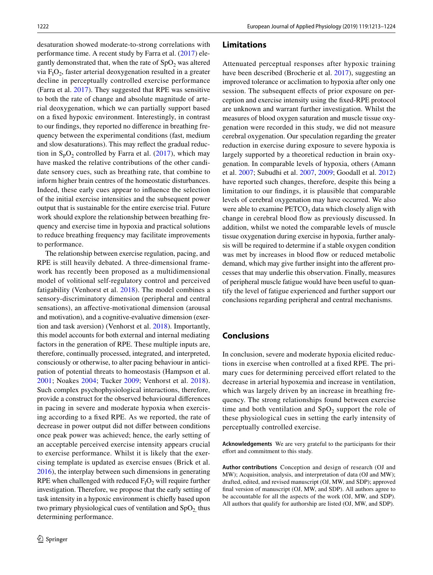desaturation showed moderate-to-strong correlations with performance time. A recent study by Farra et al. (2017) elegantly demonstrated that, when the rate of  $SpO<sub>2</sub>$  was altered via  $F_1O_2$ , faster arterial deoxygenation resulted in a greater decline in perceptually controlled exercise performance (Farra et al. 2017). They suggested that RPE was sensitive to both the rate of change and absolute magnitude of arterial deoxygenation, which we can partially support based on a fxed hypoxic environment. Interestingly, in contrast to our fndings, they reported no diference in breathing frequency between the experimental conditions (fast, medium and slow desaturations). This may refect the gradual reduction in  $S_pO_2$  controlled by Farra et al. (2017), which may have masked the relative contributions of the other candidate sensory cues, such as breathing rate, that combine to inform higher brain centres of the homeostatic disturbances. Indeed, these early cues appear to infuence the selection of the initial exercise intensities and the subsequent power output that is sustainable for the entire exercise trial. Future work should explore the relationship between breathing frequency and exercise time in hypoxia and practical solutions to reduce breathing frequency may facilitate improvements to performance.

The relationship between exercise regulation, pacing, and RPE is still heavily debated. A three-dimensional framework has recently been proposed as a multidimensional model of volitional self-regulatory control and perceived fatigability (Venhorst et al. 2018). The model combines a sensory-discriminatory dimension (peripheral and central sensations), an afective-motivational dimension (arousal and motivation), and a cognitive-evaluative dimension (exertion and task aversion) (Venhorst et al. 2018). Importantly, this model accounts for both external and internal mediating factors in the generation of RPE. These multiple inputs are, therefore, continually processed, integrated, and interpreted, consciously or otherwise, to alter pacing behaviour in anticipation of potential threats to homeostasis (Hampson et al. 2001; Noakes 2004; Tucker 2009; Venhorst et al. 2018). Such complex psychophysiological interactions, therefore, provide a construct for the observed behavioural diferences in pacing in severe and moderate hypoxia when exercising according to a fxed RPE. As we reported, the rate of decrease in power output did not difer between conditions once peak power was achieved; hence, the early setting of an acceptable perceived exercise intensity appears crucial to exercise performance. Whilst it is likely that the exercising template is updated as exercise ensues (Brick et al. 2016), the interplay between such dimensions in generating RPE when challenged with reduced  $F_1O_2$  will require further investigation. Therefore, we propose that the early setting of task intensity in a hypoxic environment is chiefy based upon two primary physiological cues of ventilation and  $SpO<sub>2</sub>$  thus determining performance.

#### **Limitations**

Attenuated perceptual responses after hypoxic training have been described (Brocherie et al. 2017), suggesting an improved tolerance or acclimation to hypoxia after only one session. The subsequent effects of prior exposure on perception and exercise intensity using the fxed-RPE protocol are unknown and warrant further investigation. Whilst the measures of blood oxygen saturation and muscle tissue oxygenation were recorded in this study, we did not measure cerebral oxygenation. Our speculation regarding the greater reduction in exercise during exposure to severe hypoxia is largely supported by a theoretical reduction in brain oxygenation. In comparable levels of hypoxia, others (Amann et al. 2007; Subudhi et al. 2007, 2009; Goodall et al. 2012) have reported such changes, therefore, despite this being a limitation to our fndings, it is plausible that comparable levels of cerebral oxygenation may have occurred. We also were able to examine  $\text{PETCO}_2$  data which closely align with change in cerebral blood fow as previously discussed. In addition, whilst we noted the comparable levels of muscle tissue oxygenation during exercise in hypoxia, further analysis will be required to determine if a stable oxygen condition was met by increases in blood flow or reduced metabolic demand, which may give further insight into the afferent processes that may underlie this observation. Finally, measures of peripheral muscle fatigue would have been useful to quantify the level of fatigue experienced and further support our conclusions regarding peripheral and central mechanisms.

## **Conclusions**

In conclusion, severe and moderate hypoxia elicited reductions in exercise when controlled at a fxed RPE. The primary cues for determining perceived effort related to the decrease in arterial hypoxemia and increase in ventilation, which was largely driven by an increase in breathing frequency. The strong relationships found between exercise time and both ventilation and  $SpO<sub>2</sub>$  support the role of these physiological cues in setting the early intensity of perceptually controlled exercise.

**Acknowledgements** We are very grateful to the participants for their effort and commitment to this study.

**Author contributions** Conception and design of research (OJ and MW); Acquisition, analysis, and interpretation of data (OJ and MW); drafted, edited, and revised manuscript (OJ, MW, and SDP); approved fnal version of manuscript (OJ, MW, and SDP). All authors agree to be accountable for all the aspects of the work (OJ, MW, and SDP). All authors that qualify for authorship are listed (OJ, MW, and SDP).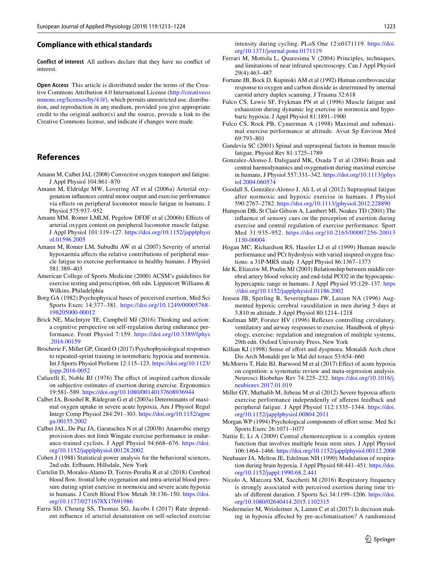#### **Compliance with ethical standards**

**Conflict of interest** All authors declare that they have no confict of interest.

**Open Access** This article is distributed under the terms of the Creative Commons Attribution 4.0 International License (http://creativeco mmons.org/licenses/by/4.0/), which permits unrestricted use, distribution, and reproduction in any medium, provided you give appropriate credit to the original author(s) and the source, provide a link to the Creative Commons license, and indicate if changes were made.

## **References**

- Amann M, Calbet JAL (2008) Convective oxygen transport and fatigue. J Appl Physiol 104:861–870
- Amann M, Eldridge MW, Lovering AT et al (2006a) Arterial oxygenation infuences central motor output and exercise performance via efects on peripheral locomotor muscle fatigue in humans. J Physiol 575:937–952
- Amann MM, Romer LMLM, Pegelow DFDF et al (2006b) Efects of arterial oxygen content on peripheral locomotor muscle fatigue. J Appl Physiol 101:119–127. https://doi.org/10.1152/japplphysi ol.01596.2005
- Amann M, Romer LM, Subudhi AW et al (2007) Severity of arterial hypoxaemia afects the relative contributions of peripheral muscle fatigue to exercise performance in healthy humans. J Physiol 581:389–403
- American College of Sports Medicine (2000) ACSM's guidelines for exercise testing and prescription, 6th edn. Lippincott Williams & Wilkins, Philadelphia
- Borg GA (1982) Psychophysical bases of perceived exertion. Med Sci Sports Exerc 14:377–381. https://doi.org/10.1249/00005768- 198205000-00012
- Brick NE, MacIntyre TE, Campbell MJ (2016) Thinking and action: a cognitive perspective on self-regulation during endurance performance. Front Physiol 7:159. https://doi.org/10.3389/fphys .2016.00159
- Brocherie F, Millet GP, Girard O (2017) Psychophysiological responses to repeated-sprint training in normobaric hypoxia and normoxia. Int J Sports Physiol Perform 12:115–123. https://doi.org/10.1123/ ijspp.2016-0052
- Cafarelli E, Noble BJ (1976) The efect of inspired carbon dioxide on subjective estimates of exertion during exercise. Ergonomics 19:581–589. https://doi.org/10.1080/00140137608936944
- Calbet JA, Boushel R, Rådegran G et al (2003a) Determinants of maximal oxygen uptake in severe acute hypoxia. Am J Physiol Regul Integr Comp Physiol 284:291–303. https://doi.org/10.1152/ajpre gu.00155.2002
- Calbet JAL, De Paz JA, Garatachea N et al (2003b) Anaerobic energy provision does not limit Wingate exercise performance in endurance-trained cyclists. J Appl Physiol 94:668–676. https://doi. org/10.1152/japplphysiol.00128.2002
- Cohen J (1988) Statistical power analysis for the behavioral sciences, 2nd edn. Erlbaum, Hillsdale, New York
- Curtelin D, Morales-Alamo D, Torres-Peralta R et al (2018) Cerebral blood fow, frontal lobe oxygenation and intra-arterial blood pressure during sprint exercise in normoxia and severe acute hypoxia in humans. J Cereb Blood Flow Metab 38:136–150. https://doi. org/10.1177/0271678X17691986
- Farra SD, Cheung SS, Thomas SG, Jacobs I (2017) Rate dependent infuence of arterial desaturation on self-selected exercise

intensity during cycling. PLoS One 12:e0171119. https://doi. org/10.1371/journal.pone.0171119

- Ferrari M, Mottola L, Quaresima V (2004) Principles, techniques, and limitations of near infrared spectroscopy. Can J Appl Physiol 29(4):463–487
- Fortune JB, Bock D, Kupinski AM et al (1992) Human cerebrovascular response to oxygen and carbon dioxide as determined by internal carotid artery duplex scanning. J Trauma 32:618
- Fulco CS, Lewis SF, Frykman PN et al (1996) Muscle fatigue and exhaustion during dynamic leg exercise in normoxia and hypobaric hypoxia. J Appl Physiol 81:1891–1900
- Fulco CS, Rock PB, Cymerman A (1998) Maximal and submaximal exercise performance at altitude. Aviat Sp Environ Med 69:793–801
- Gandevia SC (2001) Spinal and supraspinal factors in human muscle fatigue. Physiol Rev 81:1725–1789
- Gonzalez-Alonso J, Dalsgaard MK, Osada T et al (2004) Brain and central haemodynamics and oxygenation during maximal exercise in humans. J Physiol 557:331–342. https://doi.org/10.1113/jphys iol.2004.060574
- Goodall S, González-Alonso J, Ali L et al (2012) Supraspinal fatigue after normoxic and hypoxic exercise in humans. J Physiol 590:2767–2782. https://doi.org/10.1113/jphysiol.2012.228890
- Hampson DB, St Clair Gibson A, Lambert MI, Noakes TD (2001) The infuence of sensory cues on the perception of exertion during exercise and central regulation of exercise performance. Sport Med 31:935–952. https://doi.org/10.2165/00007256-20013 1130-00004
- Hogan MC, Richardson RS, Haseler LJ et al (1999) Human muscle performance and PCr hydrolysis with varied inspired oxygen fractions: a 31P-MRS study. J Appl Physiol 86:1367–1373
- Ide K, Eliasziw M, Poulin MJ (2003) Relationship between middle cerebral artery blood velocity and end-tidal PCO2 in the hypocapnichypercapnic range in humans. J Appl Physiol 95:129–137. https ://doi.org/10.1152/japplphysiol.01186.2002
- Jensen JB, Sperling B, Severinghaus JW, Lassen NA (1996) Augmented hypoxic cerebral vasodilation in men during 5 days at 3,810 m altitude. J Appl Physiol 80:1214–1218
- Kaufman MP, Forster HV (1996) Refexes controlling circulatory, ventilatory and airway responses to exercise. Handbook of physiology, exercise: regulation and integration of multiple systems, 29th edn. Oxford University Press, New York
- Killian KJ (1998) Sense of effort and dyspnoea. Monaldi Arch chest Dis Arch Monaldi per le Mal del torace 53:654–660
- McMorris T, Hale BJ, Barwood M et al (2017) Efect of acute hypoxia on cognition: a systematic review and meta-regression analysis. Neurosci Biobehav Rev 74:225–232. https://doi.org/10.1016/j. neubiorev.2017.01.019
- Millet GY, Muthalib M, Jubeau M et al (2012) Severe hypoxia afects exercise performance independently of aferent feedback and peripheral fatigue. J Appl Physiol 112:1335–1344. https://doi. org/10.1152/japplphysiol.00804.2011
- Morgan WP (1994) Psychological components of effort sense. Med Sci Sports Exerc 26:1071–1077
- Nattie E, Li A (2009) Central chemoreception is a complex system function that involves multiple brain stem sites. J Appl Physiol 106:1464–1466. https://doi.org/10.1152/japplphysiol.00112.2008
- Neubauer JA, Melton JE, Edelman NH (1990) Modulation of respiration during brain hypoxia. J Appl Physiol 68:441–451. https://doi. org/10.1152/jappl.1990.68.2.441
- Nicolo A, Marcora SM, Sacchetti M (2016) Respiratory frequency is strongly associated with perceived exertion during time trials of diferent duration. J Sports Sci 34:1199–1206. https://doi. org/10.1080/02640414.2015.1102315
- Niedermeier M, Weisleitner A, Lamm C et al (2017) Is decision making in hypoxia afected by pre-acclimatisation? A randomized